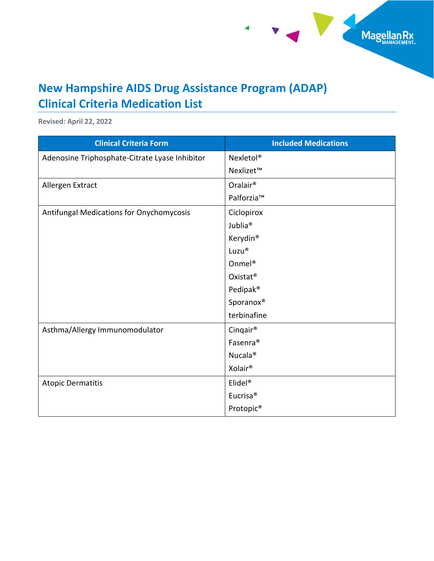

## **New Hampshire AIDS Drug Assistance Program (ADAP) Clinical Criteria Medication List**

 $\blacktriangleleft$ 

**Revised: April 22, 2022**

| <b>Clinical Criteria Form</b>                  | <b>Included Medications</b> |
|------------------------------------------------|-----------------------------|
| Adenosine Triphosphate-Citrate Lyase Inhibitor | Nexletol <sup>®</sup>       |
|                                                | Nexlizet™                   |
| Allergen Extract                               | Oralair <sup>®</sup>        |
|                                                | Palforzia™                  |
| Antifungal Medications for Onychomycosis       | Ciclopirox                  |
|                                                | Jublia <sup>®</sup>         |
|                                                | Kerydin <sup>®</sup>        |
|                                                | Luzu®                       |
|                                                | Onmel <sup>®</sup>          |
|                                                | Oxistat <sup>®</sup>        |
|                                                | Pedipak <sup>®</sup>        |
|                                                | Sporanox <sup>®</sup>       |
|                                                | terbinafine                 |
| Asthma/Allergy Immunomodulator                 | Cinqair <sup>®</sup>        |
|                                                | Fasenra <sup>®</sup>        |
|                                                | Nucala <sup>®</sup>         |
|                                                | Xolair <sup>®</sup>         |
| <b>Atopic Dermatitis</b>                       | Elidel <sup>®</sup>         |
|                                                | Eucrisa <sup>®</sup>        |
|                                                | Protopic <sup>®</sup>       |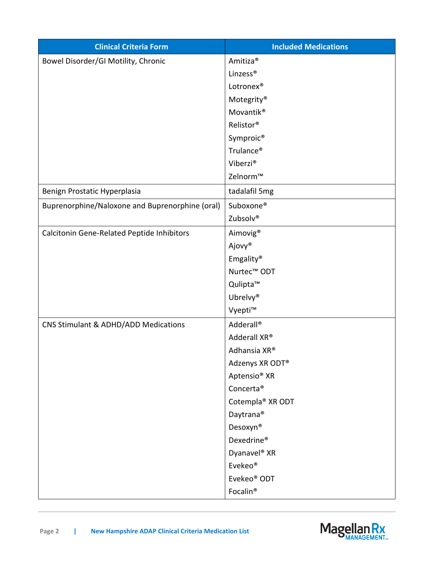| <b>Clinical Criteria Form</b>                   | <b>Included Medications</b> |
|-------------------------------------------------|-----------------------------|
| Bowel Disorder/GI Motility, Chronic             | Amitiza <sup>®</sup>        |
|                                                 | Linzess <sup>®</sup>        |
|                                                 | Lotronex <sup>®</sup>       |
|                                                 | Motegrity®                  |
|                                                 | Movantik <sup>®</sup>       |
|                                                 | Relistor®                   |
|                                                 | Symproic <sup>®</sup>       |
|                                                 | Trulance <sup>®</sup>       |
|                                                 | Viberzi®                    |
|                                                 | Zelnorm™                    |
| Benign Prostatic Hyperplasia                    | tadalafil 5mg               |
| Buprenorphine/Naloxone and Buprenorphine (oral) | Suboxone®                   |
|                                                 | Zubsolv®                    |
| Calcitonin Gene-Related Peptide Inhibitors      | Aimovig <sup>®</sup>        |
|                                                 | Ajovy®                      |
|                                                 | Emgality®                   |
|                                                 | Nurtec <sup>™</sup> ODT     |
|                                                 | Qulipta™                    |
|                                                 | Ubrelvy <sup>®</sup>        |
|                                                 | Vyepti™                     |
| CNS Stimulant & ADHD/ADD Medications            | Adderall <sup>®</sup>       |
|                                                 | Adderall XR®                |
|                                                 | Adhansia XR®                |
|                                                 | Adzenys XR ODT®             |
|                                                 | Aptensio <sup>®</sup> XR    |
|                                                 | Concerta <sup>®</sup>       |
|                                                 | Cotempla® XR ODT            |
|                                                 | Daytrana <sup>®</sup>       |
|                                                 | Desoxyn <sup>®</sup>        |
|                                                 | Dexedrine®                  |
|                                                 | Dyanavel <sup>®</sup> XR    |
|                                                 | Evekeo®                     |
|                                                 | Evekeo <sup>®</sup> ODT     |
|                                                 | Focalin®                    |

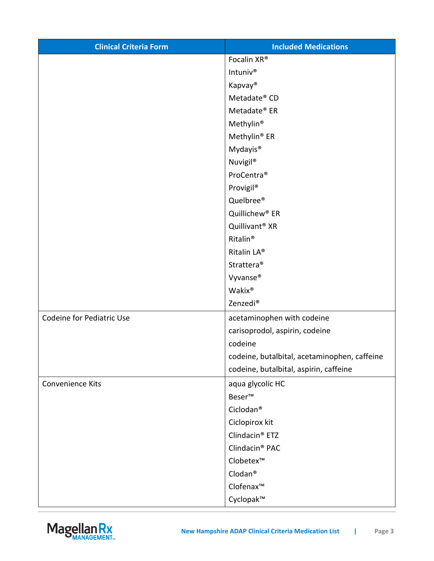| <b>Clinical Criteria Form</b>    | <b>Included Medications</b>                  |
|----------------------------------|----------------------------------------------|
|                                  | Focalin XR®                                  |
|                                  | Intuniv <sup>®</sup>                         |
|                                  | Kapvay <sup>®</sup>                          |
|                                  | Metadate® CD                                 |
|                                  | Metadate® ER                                 |
|                                  | Methylin <sup>®</sup>                        |
|                                  | Methylin <sup>®</sup> ER                     |
|                                  | Mydayis <sup>®</sup>                         |
|                                  | Nuvigil®                                     |
|                                  | ProCentra <sup>®</sup>                       |
|                                  | Provigil <sup>®</sup>                        |
|                                  | Quelbree®                                    |
|                                  | Quillichew <sup>®</sup> ER                   |
|                                  | Quillivant <sup>®</sup> XR                   |
|                                  | Ritalin <sup>®</sup>                         |
|                                  | Ritalin LA®                                  |
|                                  | Strattera <sup>®</sup>                       |
|                                  | Vyvanse®                                     |
|                                  | Wakix®                                       |
|                                  | Zenzedi <sup>®</sup>                         |
| <b>Codeine for Pediatric Use</b> | acetaminophen with codeine                   |
|                                  | carisoprodol, aspirin, codeine               |
|                                  | codeine                                      |
|                                  | codeine, butalbital, acetaminophen, caffeine |
|                                  | codeine, butalbital, aspirin, caffeine       |
| Convenience Kits                 | aqua glycolic HC                             |
|                                  | Beser <sup>™</sup>                           |
|                                  | Ciclodan <sup>®</sup>                        |
|                                  | Ciclopirox kit                               |
|                                  | Clindacin <sup>®</sup> ETZ                   |
|                                  | Clindacin <sup>®</sup> PAC                   |
|                                  | Clobetex™                                    |
|                                  | Clodan <sup>®</sup>                          |
|                                  | Clofenax™                                    |
|                                  | Cyclopak™                                    |

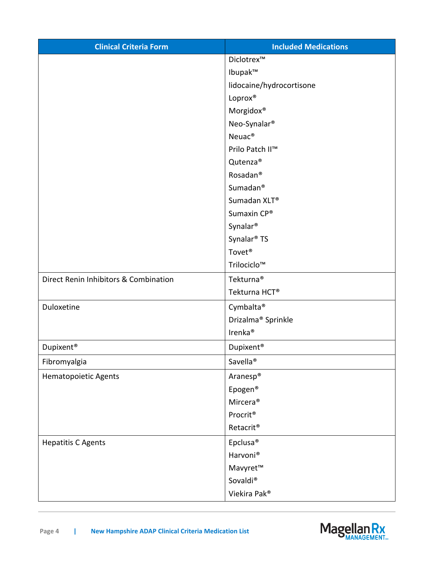| <b>Clinical Criteria Form</b>         | <b>Included Medications</b>    |
|---------------------------------------|--------------------------------|
|                                       | Diclotrex™                     |
|                                       | Ibupak™                        |
|                                       | lidocaine/hydrocortisone       |
|                                       | Loprox®                        |
|                                       | Morgidox®                      |
|                                       | Neo-Synalar <sup>®</sup>       |
|                                       | Neuac <sup>®</sup>             |
|                                       | Prilo Patch II™                |
|                                       | Qutenza <sup>®</sup>           |
|                                       | Rosadan <sup>®</sup>           |
|                                       | Sumadan <sup>®</sup>           |
|                                       | Sumadan XLT®                   |
|                                       | Sumaxin CP®                    |
|                                       | Synalar <sup>®</sup>           |
|                                       | Synalar <sup>®</sup> TS        |
|                                       | Tovet <sup>®</sup>             |
|                                       | Trilociclo™                    |
| Direct Renin Inhibitors & Combination | Tekturna <sup>®</sup>          |
|                                       | Tekturna HCT®                  |
| Duloxetine                            | Cymbalta®                      |
|                                       | Drizalma <sup>®</sup> Sprinkle |
|                                       | Irenka <sup>®</sup>            |
| Dupixent <sup>®</sup>                 | Dupixent <sup>®</sup>          |
| Fibromyalgia                          | Savella <sup>®</sup>           |
| Hematopoietic Agents                  | Aranesp <sup>®</sup>           |
|                                       | Epogen <sup>®</sup>            |
|                                       | Mircera <sup>®</sup>           |
|                                       | Procrit <sup>®</sup>           |
|                                       | Retacrit®                      |
| <b>Hepatitis C Agents</b>             | Epclusa <sup>®</sup>           |
|                                       | Harvoni <sup>®</sup>           |
|                                       | Mavyret™                       |
|                                       | Sovaldi <sup>®</sup>           |
|                                       | Viekira Pak®                   |

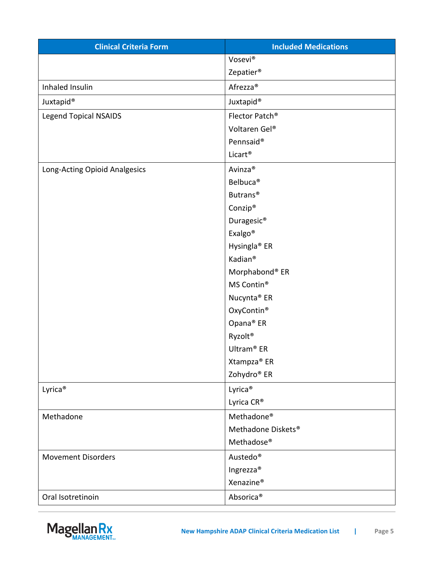| <b>Clinical Criteria Form</b> | <b>Included Medications</b> |
|-------------------------------|-----------------------------|
|                               | Vosevi®                     |
|                               | Zepatier <sup>®</sup>       |
| Inhaled Insulin               | Afrezza <sup>®</sup>        |
| Juxtapid <sup>®</sup>         | Juxtapid <sup>®</sup>       |
| <b>Legend Topical NSAIDS</b>  | Flector Patch <sup>®</sup>  |
|                               | Voltaren Gel®               |
|                               | Pennsaid®                   |
|                               | Licart <sup>®</sup>         |
| Long-Acting Opioid Analgesics | Avinza <sup>®</sup>         |
|                               | Belbuca <sup>®</sup>        |
|                               | Butrans <sup>®</sup>        |
|                               | Conzip®                     |
|                               | Duragesic <sup>®</sup>      |
|                               | Exalgo <sup>®</sup>         |
|                               | Hysingla <sup>®</sup> ER    |
|                               | Kadian <sup>®</sup>         |
|                               | Morphabond® ER              |
|                               | MS Contin <sup>®</sup>      |
|                               | Nucynta <sup>®</sup> ER     |
|                               | OxyContin®                  |
|                               | Opana® ER                   |
|                               | Ryzolt <sup>®</sup>         |
|                               | Ultram <sup>®</sup> ER      |
|                               | Xtampza® ER                 |
|                               | Zohydro® ER                 |
| Lyrica <sup>®</sup>           | Lyrica <sup>®</sup>         |
|                               | Lyrica CR®                  |
| Methadone                     | Methadone <sup>®</sup>      |
|                               | Methadone Diskets®          |
|                               | Methadose <sup>®</sup>      |
| <b>Movement Disorders</b>     | Austedo <sup>®</sup>        |
|                               | Ingrezza®                   |
|                               | Xenazine <sup>®</sup>       |
| Oral Isotretinoin             | Absorica®                   |

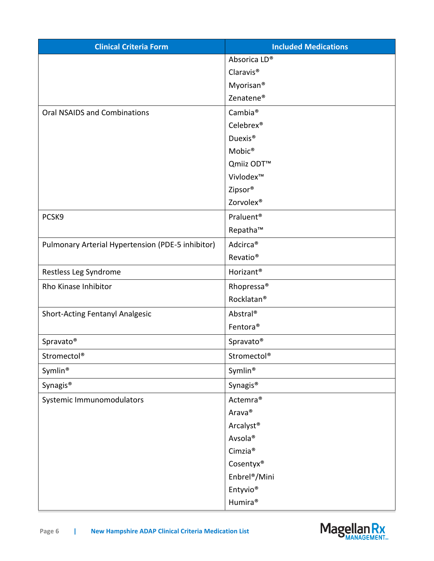| <b>Clinical Criteria Form</b>                     | <b>Included Medications</b> |
|---------------------------------------------------|-----------------------------|
|                                                   | Absorica LD®                |
|                                                   | Claravis <sup>®</sup>       |
|                                                   | Myorisan <sup>®</sup>       |
|                                                   | Zenatene <sup>®</sup>       |
| <b>Oral NSAIDS and Combinations</b>               | Cambia <sup>®</sup>         |
|                                                   | Celebrex <sup>®</sup>       |
|                                                   | Duexis <sup>®</sup>         |
|                                                   | Mobic®                      |
|                                                   | Qmiiz ODT <sup>™</sup>      |
|                                                   | Vivlodex™                   |
|                                                   | Zipsor®                     |
|                                                   | Zorvolex <sup>®</sup>       |
| PCSK9                                             | Praluent <sup>®</sup>       |
|                                                   | Repatha™                    |
| Pulmonary Arterial Hypertension (PDE-5 inhibitor) | Adcirca <sup>®</sup>        |
|                                                   | Revatio <sup>®</sup>        |
| Restless Leg Syndrome                             | Horizant <sup>®</sup>       |
| Rho Kinase Inhibitor                              | Rhopressa <sup>®</sup>      |
|                                                   | Rocklatan <sup>®</sup>      |
| <b>Short-Acting Fentanyl Analgesic</b>            | Abstral®                    |
|                                                   | Fentora <sup>®</sup>        |
| Spravato®                                         | Spravato®                   |
| Stromectol®                                       | Stromectol®                 |
| Symlin®                                           | Symlin®                     |
| Synagis <sup>®</sup>                              | Synagis <sup>®</sup>        |
| Systemic Immunomodulators                         | Actemra <sup>®</sup>        |
|                                                   | Arava®                      |
|                                                   | Arcalyst <sup>®</sup>       |
|                                                   | Avsola®                     |
|                                                   | Cimzia <sup>®</sup>         |
|                                                   | Cosentyx®                   |
|                                                   | Enbrel <sup>®</sup> /Mini   |
|                                                   | Entyvio <sup>®</sup>        |
|                                                   | Humira <sup>®</sup>         |